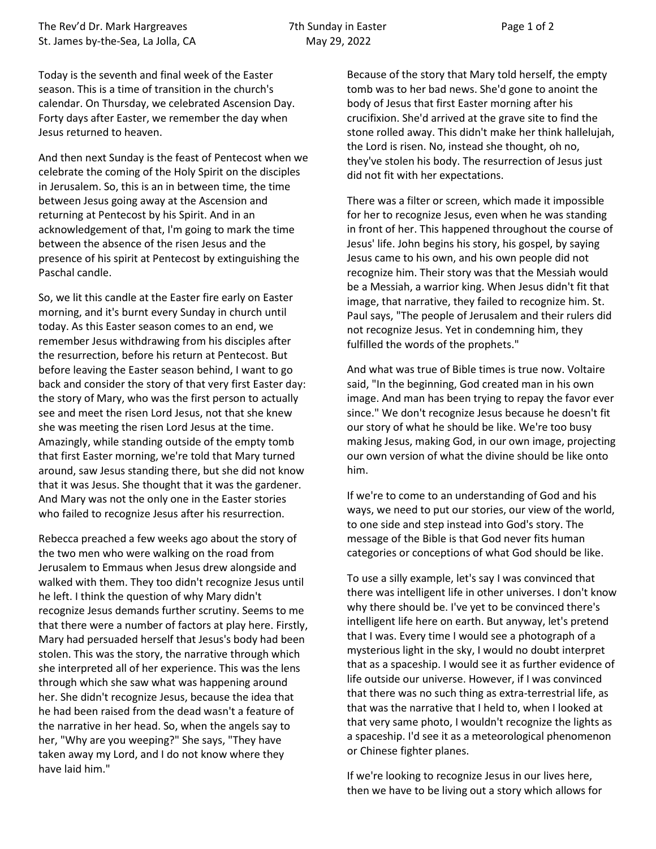Today is the seventh and final week of the Easter season. This is a time of transition in the church's calendar. On Thursday, we celebrated Ascension Day. Forty days after Easter, we remember the day when Jesus returned to heaven.

And then next Sunday is the feast of Pentecost when we celebrate the coming of the Holy Spirit on the disciples in Jerusalem. So, this is an in between time, the time between Jesus going away at the Ascension and returning at Pentecost by his Spirit. And in an acknowledgement of that, I'm going to mark the time between the absence of the risen Jesus and the presence of his spirit at Pentecost by extinguishing the Paschal candle.

So, we lit this candle at the Easter fire early on Easter morning, and it's burnt every Sunday in church until today. As this Easter season comes to an end, we remember Jesus withdrawing from his disciples after the resurrection, before his return at Pentecost. But before leaving the Easter season behind, I want to go back and consider the story of that very first Easter day: the story of Mary, who was the first person to actually see and meet the risen Lord Jesus, not that she knew she was meeting the risen Lord Jesus at the time. Amazingly, while standing outside of the empty tomb that first Easter morning, we're told that Mary turned around, saw Jesus standing there, but she did not know that it was Jesus. She thought that it was the gardener. And Mary was not the only one in the Easter stories who failed to recognize Jesus after his resurrection.

Rebecca preached a few weeks ago about the story of the two men who were walking on the road from Jerusalem to Emmaus when Jesus drew alongside and walked with them. They too didn't recognize Jesus until he left. I think the question of why Mary didn't recognize Jesus demands further scrutiny. Seems to me that there were a number of factors at play here. Firstly, Mary had persuaded herself that Jesus's body had been stolen. This was the story, the narrative through which she interpreted all of her experience. This was the lens through which she saw what was happening around her. She didn't recognize Jesus, because the idea that he had been raised from the dead wasn't a feature of the narrative in her head. So, when the angels say to her, "Why are you weeping?" She says, "They have taken away my Lord, and I do not know where they have laid him."

Because of the story that Mary told herself, the empty tomb was to her bad news. She'd gone to anoint the body of Jesus that first Easter morning after his crucifixion. She'd arrived at the grave site to find the stone rolled away. This didn't make her think hallelujah, the Lord is risen. No, instead she thought, oh no, they've stolen his body. The resurrection of Jesus just did not fit with her expectations.

There was a filter or screen, which made it impossible for her to recognize Jesus, even when he was standing in front of her. This happened throughout the course of Jesus' life. John begins his story, his gospel, by saying Jesus came to his own, and his own people did not recognize him. Their story was that the Messiah would be a Messiah, a warrior king. When Jesus didn't fit that image, that narrative, they failed to recognize him. St. Paul says, "The people of Jerusalem and their rulers did not recognize Jesus. Yet in condemning him, they fulfilled the words of the prophets."

And what was true of Bible times is true now. Voltaire said, "In the beginning, God created man in his own image. And man has been trying to repay the favor ever since." We don't recognize Jesus because he doesn't fit our story of what he should be like. We're too busy making Jesus, making God, in our own image, projecting our own version of what the divine should be like onto him.

If we're to come to an understanding of God and his ways, we need to put our stories, our view of the world, to one side and step instead into God's story. The message of the Bible is that God never fits human categories or conceptions of what God should be like.

To use a silly example, let's say I was convinced that there was intelligent life in other universes. I don't know why there should be. I've yet to be convinced there's intelligent life here on earth. But anyway, let's pretend that I was. Every time I would see a photograph of a mysterious light in the sky, I would no doubt interpret that as a spaceship. I would see it as further evidence of life outside our universe. However, if I was convinced that there was no such thing as extra-terrestrial life, as that was the narrative that I held to, when I looked at that very same photo, I wouldn't recognize the lights as a spaceship. I'd see it as a meteorological phenomenon or Chinese fighter planes.

If we're looking to recognize Jesus in our lives here, then we have to be living out a story which allows for